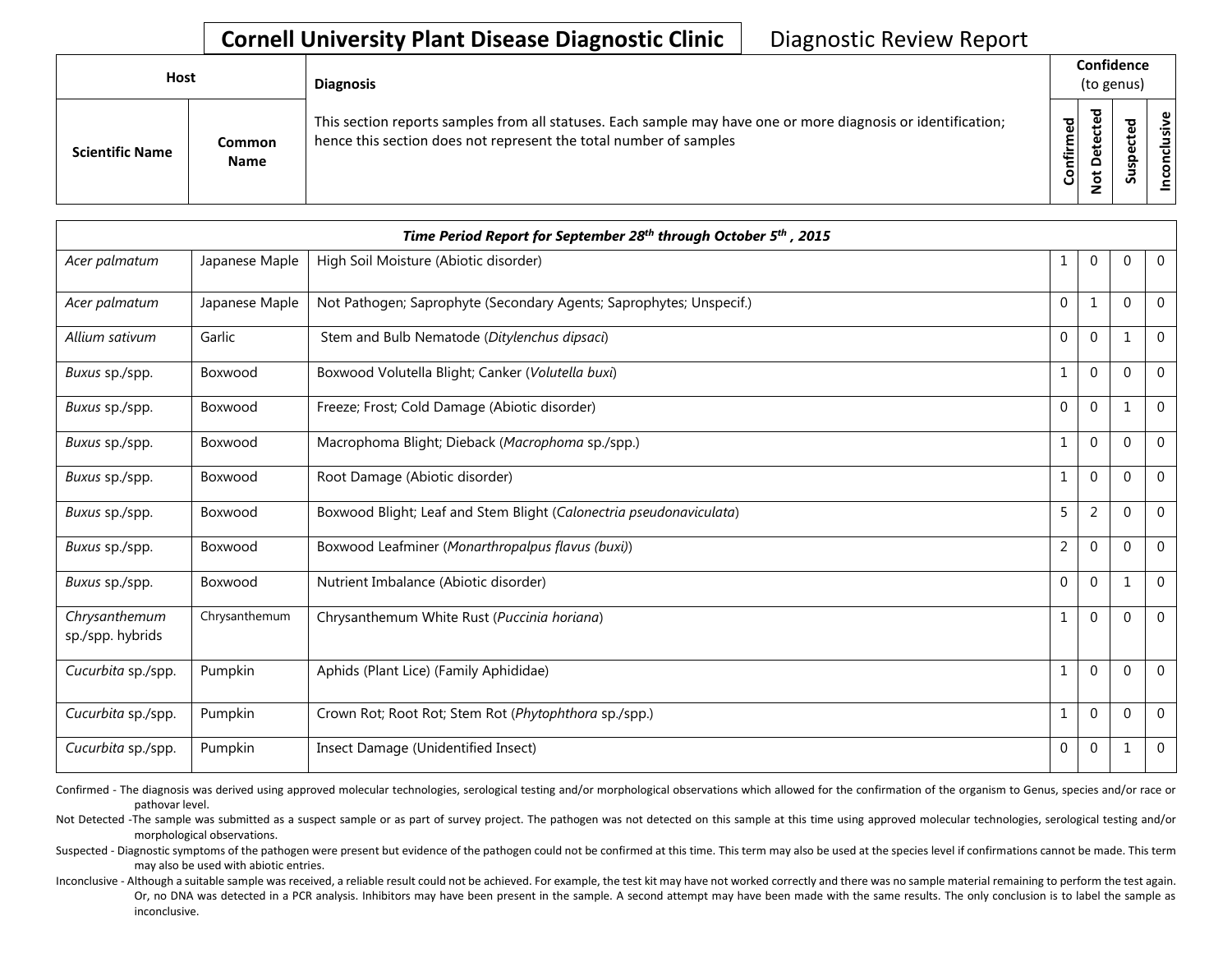| <b>Host</b>            |                       | <b>Diagnosis</b>                                                                                                                                                                   | Confidence<br>(to genus) |                              |                                 |      |
|------------------------|-----------------------|------------------------------------------------------------------------------------------------------------------------------------------------------------------------------------|--------------------------|------------------------------|---------------------------------|------|
| <b>Scientific Name</b> | Common<br><b>Name</b> | This section reports samples from all statuses. Each sample may have one or more diagnosis or identification;<br>hence this section does not represent the total number of samples | යි<br>ග<br>Confirme      | ъ<br>$\Omega$<br>پ<br>۰<br>z | ъ<br>ீ<br>ω<br>௨<br>s<br>Б<br>Ū | sive |

|                                   | Time Period Report for September 28 <sup>th</sup> through October 5 <sup>th</sup> , 2015 |                                                                     |                |                |              |             |  |  |  |
|-----------------------------------|------------------------------------------------------------------------------------------|---------------------------------------------------------------------|----------------|----------------|--------------|-------------|--|--|--|
| Acer palmatum                     | Japanese Maple                                                                           | High Soil Moisture (Abiotic disorder)                               | 1              | 0              | $\mathbf{0}$ | $\mathbf 0$ |  |  |  |
| Acer palmatum                     | Japanese Maple                                                                           | Not Pathogen; Saprophyte (Secondary Agents; Saprophytes; Unspecif.) | $\mathbf 0$    | 1              | $\mathbf{0}$ | $\Omega$    |  |  |  |
| Allium sativum                    | Garlic                                                                                   | Stem and Bulb Nematode (Ditylenchus dipsaci)                        | 0              | $\overline{0}$ | $\mathbf{1}$ | $\Omega$    |  |  |  |
| Buxus sp./spp.                    | Boxwood                                                                                  | Boxwood Volutella Blight; Canker (Volutella buxi)                   | 1              | $\mathbf{0}$   | $\mathbf 0$  | $\mathbf 0$ |  |  |  |
| Buxus sp./spp.                    | Boxwood                                                                                  | Freeze; Frost; Cold Damage (Abiotic disorder)                       | $\mathbf{0}$   | $\overline{0}$ | $\mathbf 1$  | $\mathbf 0$ |  |  |  |
| Buxus sp./spp.                    | Boxwood                                                                                  | Macrophoma Blight; Dieback (Macrophoma sp./spp.)                    | 1              | $\overline{0}$ | $\mathbf{0}$ | $\Omega$    |  |  |  |
| Buxus sp./spp.                    | Boxwood                                                                                  | Root Damage (Abiotic disorder)                                      | 1              | $\pmb{0}$      | $\mathbf 0$  | $\mathbf 0$ |  |  |  |
| Buxus sp./spp.                    | Boxwood                                                                                  | Boxwood Blight; Leaf and Stem Blight (Calonectria pseudonaviculata) | 5              | 2              | $\mathbf{0}$ | $\Omega$    |  |  |  |
| Buxus sp./spp.                    | Boxwood                                                                                  | Boxwood Leafminer (Monarthropalpus flavus (buxi))                   | $\overline{2}$ | $\mathbf{0}$   | $\mathbf 0$  | $\Omega$    |  |  |  |
| Buxus sp./spp.                    | Boxwood                                                                                  | Nutrient Imbalance (Abiotic disorder)                               | $\mathbf{0}$   | $\overline{0}$ | $\mathbf{1}$ | $\mathbf 0$ |  |  |  |
| Chrysanthemum<br>sp./spp. hybrids | Chrysanthemum                                                                            | Chrysanthemum White Rust (Puccinia horiana)                         | 1              | 0              | $\mathbf 0$  | $\Omega$    |  |  |  |
| Cucurbita sp./spp.                | Pumpkin                                                                                  | Aphids (Plant Lice) (Family Aphididae)                              | 1              | $\overline{0}$ | $\mathbf{0}$ | $\mathbf 0$ |  |  |  |
| Cucurbita sp./spp.                | Pumpkin                                                                                  | Crown Rot; Root Rot; Stem Rot (Phytophthora sp./spp.)               | 1              | $\mathbf 0$    | $\mathbf{0}$ | $\Omega$    |  |  |  |
| Cucurbita sp./spp.                | Pumpkin                                                                                  | Insect Damage (Unidentified Insect)                                 | $\pmb{0}$      | $\pmb{0}$      | 1            | $\Omega$    |  |  |  |

Confirmed - The diagnosis was derived using approved molecular technologies, serological testing and/or morphological observations which allowed for the confirmation of the organism to Genus, species and/or race or pathovar level.

Not Detected -The sample was submitted as a suspect sample or as part of survey project. The pathogen was not detected on this sample at this time using approved molecular technologies, serological testing and/or morphological observations.

Suspected - Diagnostic symptoms of the pathogen were present but evidence of the pathogen could not be confirmed at this time. This term may also be used at the species level if confirmations cannot be made. This term may also be used with abiotic entries.

Inconclusive - Although a suitable sample was received, a reliable result could not be achieved. For example, the test kit may have not worked correctly and there was no sample material remaining to perform the test again. Or, no DNA was detected in a PCR analysis. Inhibitors may have been present in the sample. A second attempt may have been made with the same results. The only conclusion is to label the sample as inconclusive.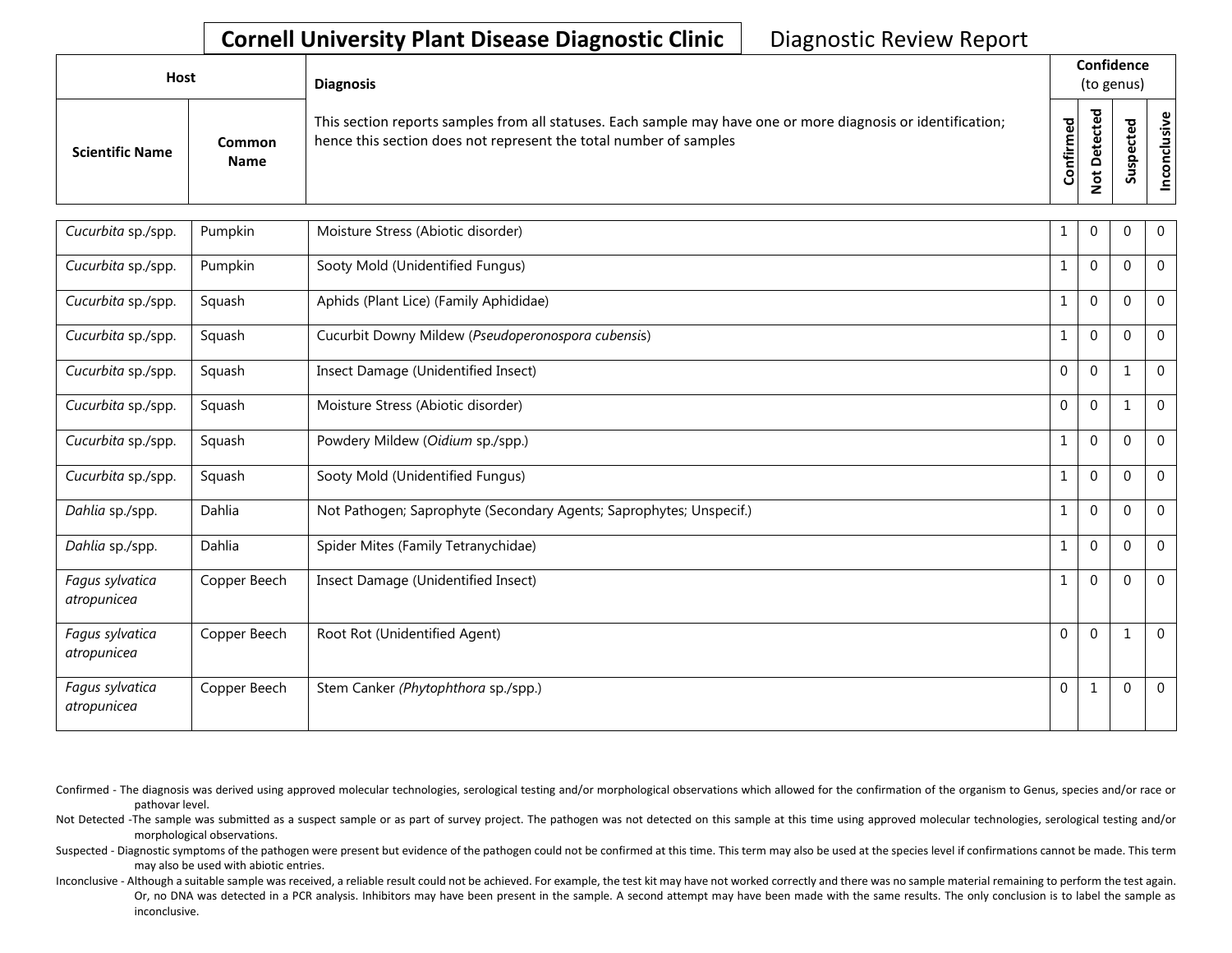| Host                   |                       | <b>Diagnosis</b>                                                                                                                                                                   |           |                   | Confidence<br>(to genus) |                                                   |
|------------------------|-----------------------|------------------------------------------------------------------------------------------------------------------------------------------------------------------------------------|-----------|-------------------|--------------------------|---------------------------------------------------|
| <b>Scientific Name</b> | Common<br><b>Name</b> | This section reports samples from all statuses. Each sample may have one or more diagnosis or identification;<br>hence this section does not represent the total number of samples | Confirmed | ᇃ<br>$\Box$<br>سه | ۹<br>ب<br>n              | $\tilde{\mathbf{z}}$<br>$\overline{a}$<br>᠊ᠣ<br>ğ |

| Cucurbita sp./spp.             | Pumpkin      | Moisture Stress (Abiotic disorder)                                  | 1            | 0            | $\Omega$     | $\overline{0}$ |
|--------------------------------|--------------|---------------------------------------------------------------------|--------------|--------------|--------------|----------------|
| Cucurbita sp./spp.             | Pumpkin      | Sooty Mold (Unidentified Fungus)                                    | $\mathbf{1}$ | $\mathbf 0$  | $\mathbf{0}$ | $\mathbf 0$    |
| Cucurbita sp./spp.             | Squash       | Aphids (Plant Lice) (Family Aphididae)                              | $\mathbf{1}$ | $\mathbf{0}$ | $\Omega$     | $\mathbf 0$    |
| Cucurbita sp./spp.             | Squash       | Cucurbit Downy Mildew (Pseudoperonospora cubensis)                  | $\mathbf{1}$ | $\mathbf 0$  | $\Omega$     | $\overline{0}$ |
| Cucurbita sp./spp.             | Squash       | Insect Damage (Unidentified Insect)                                 | $\mathbf 0$  | $\mathbf{0}$ | $\mathbf 1$  | $\mathbf{0}$   |
| Cucurbita sp./spp.             | Squash       | Moisture Stress (Abiotic disorder)                                  | $\mathbf 0$  | $\mathbf 0$  | 1            | $\mathbf 0$    |
| Cucurbita sp./spp.             | Squash       | Powdery Mildew (Oidium sp./spp.)                                    | $\mathbf{1}$ | $\mathbf{0}$ | $\mathbf{0}$ | $\Omega$       |
| Cucurbita sp./spp.             | Squash       | Sooty Mold (Unidentified Fungus)                                    | $\mathbf{1}$ | $\mathbf 0$  | $\mathbf{0}$ | $\mathbf 0$    |
| Dahlia sp./spp.                | Dahlia       | Not Pathogen; Saprophyte (Secondary Agents; Saprophytes; Unspecif.) | $\mathbf{1}$ | $\mathbf{0}$ | $\Omega$     | $\mathbf{0}$   |
| Dahlia sp./spp.                | Dahlia       | Spider Mites (Family Tetranychidae)                                 | $\mathbf{1}$ | $\mathbf{0}$ | $\Omega$     | $\mathbf{0}$   |
| Fagus sylvatica<br>atropunicea | Copper Beech | Insect Damage (Unidentified Insect)                                 | $\mathbf{1}$ | $\Omega$     | $\mathbf{0}$ | $\Omega$       |
| Fagus sylvatica<br>atropunicea | Copper Beech | Root Rot (Unidentified Agent)                                       | $\mathbf 0$  | $\Omega$     | $\mathbf{1}$ | $\Omega$       |
| Fagus sylvatica<br>atropunicea | Copper Beech | Stem Canker (Phytophthora sp./spp.)                                 | $\mathbf 0$  | $\mathbf{1}$ | 0            | $\mathbf 0$    |

Confirmed - The diagnosis was derived using approved molecular technologies, serological testing and/or morphological observations which allowed for the confirmation of the organism to Genus, species and/or race or pathovar level.

Not Detected -The sample was submitted as a suspect sample or as part of survey project. The pathogen was not detected on this sample at this time using approved molecular technologies, serological testing and/or morphological observations.

Suspected - Diagnostic symptoms of the pathogen were present but evidence of the pathogen could not be confirmed at this time. This term may also be used at the species level if confirmations cannot be made. This term may also be used with abiotic entries.

Inconclusive - Although a suitable sample was received, a reliable result could not be achieved. For example, the test kit may have not worked correctly and there was no sample material remaining to perform the test again. Or, no DNA was detected in a PCR analysis. Inhibitors may have been present in the sample. A second attempt may have been made with the same results. The only conclusion is to label the sample as inconclusive.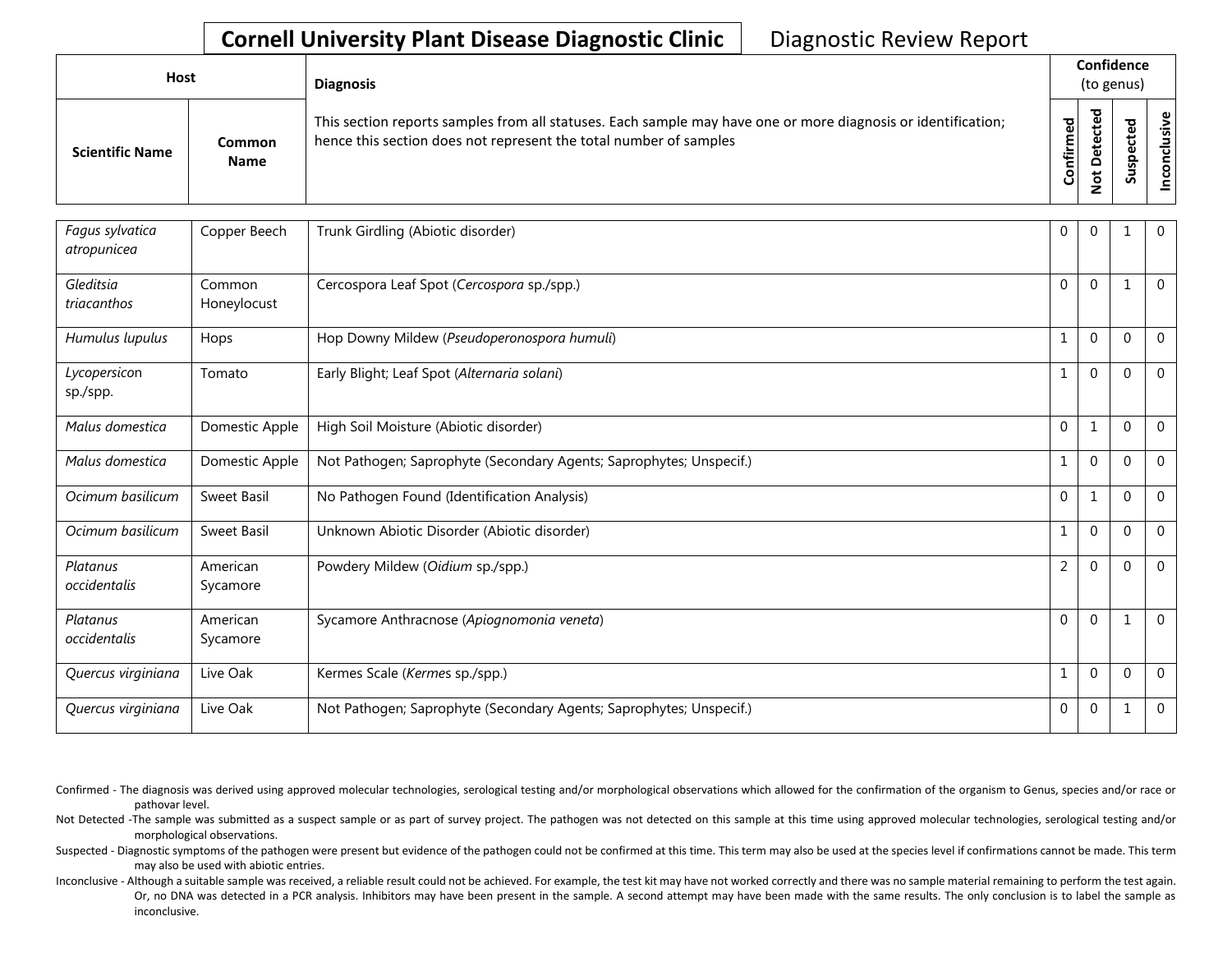| Host                   |                       | <b>Diagnosis</b>                                                                                                                                                                   | Confidence<br>(to genus) |        |                                      |
|------------------------|-----------------------|------------------------------------------------------------------------------------------------------------------------------------------------------------------------------------|--------------------------|--------|--------------------------------------|
| <b>Scientific Name</b> | Common<br><b>Name</b> | This section reports samples from all statuses. Each sample may have one or more diagnosis or identification;<br>hence this section does not represent the total number of samples | Confirmed                | ᇃ<br>≏ | $\tilde{\mathbf{z}}$<br>š<br>᠊ᠣ<br>g |

| Fagus sylvatica<br>atropunicea | Copper Beech          | Trunk Girdling (Abiotic disorder)                                   | $\mathbf 0$      | $\overline{0}$ |          | $\mathbf{0}$   |
|--------------------------------|-----------------------|---------------------------------------------------------------------|------------------|----------------|----------|----------------|
| Gleditsia<br>triacanthos       | Common<br>Honeylocust | Cercospora Leaf Spot (Cercospora sp./spp.)                          | $\Omega$         | $\Omega$       |          | $\mathbf{0}$   |
| Humulus lupulus                | Hops                  | Hop Downy Mildew (Pseudoperonospora humuli)                         | $\mathbf{1}$     | $\Omega$       | $\Omega$ | $\mathbf{0}$   |
| Lycopersicon<br>sp./spp.       | Tomato                | Early Blight; Leaf Spot (Alternaria solani)                         | 1                | $\Omega$       | $\Omega$ | $\mathbf{0}$   |
| Malus domestica                | Domestic Apple        | High Soil Moisture (Abiotic disorder)                               | $\mathbf{0}$     | 1              | $\Omega$ | $\overline{0}$ |
| Malus domestica                | Domestic Apple        | Not Pathogen; Saprophyte (Secondary Agents; Saprophytes; Unspecif.) | $\mathbf{1}$     | $\mathbf 0$    | $\Omega$ | $\mathbf{0}$   |
| Ocimum basilicum               | Sweet Basil           | No Pathogen Found (Identification Analysis)                         | $\Omega$         | 1              | $\Omega$ | $\mathbf{0}$   |
| Ocimum basilicum               | <b>Sweet Basil</b>    | Unknown Abiotic Disorder (Abiotic disorder)                         | 1                | $\Omega$       | $\Omega$ | $\mathbf 0$    |
| Platanus<br>occidentalis       | American<br>Sycamore  | Powdery Mildew (Oidium sp./spp.)                                    | $\overline{2}$   | $\Omega$       | $\Omega$ | $\Omega$       |
| Platanus<br>occidentalis       | American<br>Sycamore  | Sycamore Anthracnose (Apiognomonia veneta)                          | $\Omega$         | $\Omega$       |          | $\Omega$       |
| Quercus virginiana             | Live Oak              | Kermes Scale (Kermes sp./spp.)                                      | 1                | $\Omega$       | $\Omega$ | $\Omega$       |
| Quercus virginiana             | Live Oak              | Not Pathogen; Saprophyte (Secondary Agents; Saprophytes; Unspecif.) | $\boldsymbol{0}$ | $\mathbf 0$    |          | $\mathbf 0$    |

Confirmed - The diagnosis was derived using approved molecular technologies, serological testing and/or morphological observations which allowed for the confirmation of the organism to Genus, species and/or race or pathovar level.

Not Detected -The sample was submitted as a suspect sample or as part of survey project. The pathogen was not detected on this sample at this time using approved molecular technologies, serological testing and/or morphological observations.

Suspected - Diagnostic symptoms of the pathogen were present but evidence of the pathogen could not be confirmed at this time. This term may also be used at the species level if confirmations cannot be made. This term may also be used with abiotic entries.

Inconclusive - Although a suitable sample was received, a reliable result could not be achieved. For example, the test kit may have not worked correctly and there was no sample material remaining to perform the test again. Or, no DNA was detected in a PCR analysis. Inhibitors may have been present in the sample. A second attempt may have been made with the same results. The only conclusion is to label the sample as inconclusive.